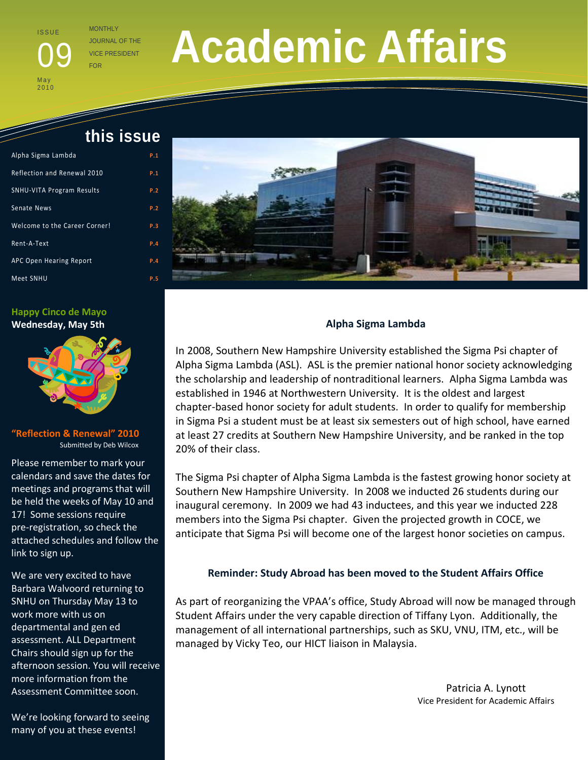I S S U E

**May**  $2010$  JOURNAL OF THE **VICE PRESIDENT** 

# **Academic Affairs**

 **this issue** 

| Alpha Sigma Lambda               | P.1 |
|----------------------------------|-----|
| Reflection and Renewal 2010      | P.1 |
| <b>SNHU-VITA Program Results</b> | P.2 |
| Senate News                      | P.2 |
| Welcome to the Career Corner!    | P.3 |
| Rent-A-Text                      | P.4 |
| APC Open Hearing Report          | P.4 |
| Meet SNHU                        | P.5 |

 $\tilde{a}$ 

**Happy Cinco de Mayo Wednesday, May 5th** 



**"Reflection & Renewal" 2010** Submitted by Deb Wilcox

Please remember to mark your calendars and save the dates for meetings and programs that will be held the weeks of May 10 and 17! Some sessions require pre-registration, so check the attached schedules and follow the link to sign up.

We are very excited to have Barbara Walvoord returning to SNHU on Thursday May 13 to work more with us on departmental and gen ed assessment. ALL Department Chairs should sign up for the afternoon session. You will receive more information from the Assessment Committee soon.

We're looking forward to seeing many of you at these events!



# **Alpha Sigma Lambda**

In 2008, Southern New Hampshire University established the Sigma Psi chapter of Alpha Sigma Lambda (ASL). ASL is the premier national honor society acknowledging the scholarship and leadership of nontraditional learners. Alpha Sigma Lambda was established in 1946 at Northwestern University. It is the oldest and largest chapter-based honor society for adult students. In order to qualify for membership in Sigma Psi a student must be at least six semesters out of high school, have earned at least 27 credits at Southern New Hampshire University, and be ranked in the top 20% of their class.

The Sigma Psi chapter of Alpha Sigma Lambda is the fastest growing honor society at Southern New Hampshire University. In 2008 we inducted 26 students during our inaugural ceremony. In 2009 we had 43 inductees, and this year we inducted 228 members into the Sigma Psi chapter. Given the projected growth in COCE, we anticipate that Sigma Psi will become one of the largest honor societies on campus.

### **Reminder: Study Abroad has been moved to the Student Affairs Office**

As part of reorganizing the VPAA's office, Study Abroad will now be managed through Student Affairs under the very capable direction of Tiffany Lyon. Additionally, the management of all international partnerships, such as SKU, VNU, ITM, etc., will be managed by Vicky Teo, our HICT liaison in Malaysia.

> Patricia A. Lynott Vice President for Academic Affairs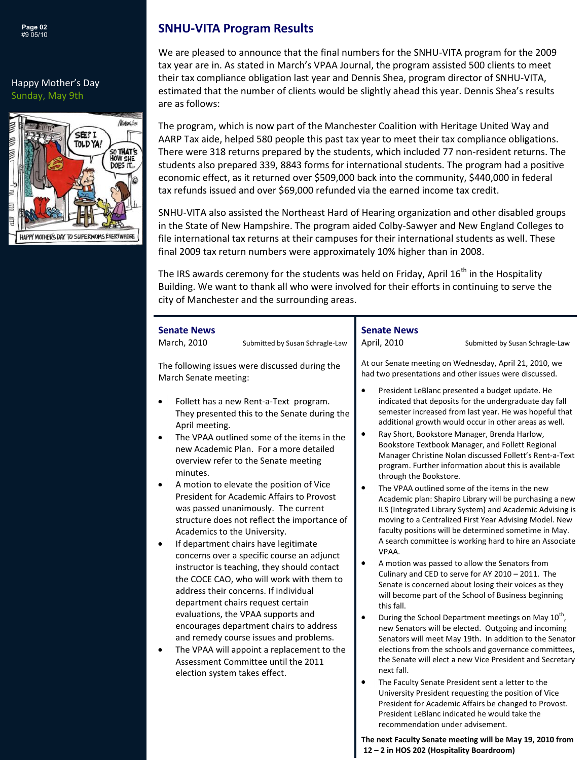

#### Happy Mother's Day Sunday, May 9th



# **SNHU-VITA Program Results**

We are pleased to announce that the final numbers for the SNHU-VITA program for the 2009 tax year are in. As stated in March's VPAA Journal, the program assisted 500 clients to meet their tax compliance obligation last year and Dennis Shea, program director of SNHU-VITA, estimated that the number of clients would be slightly ahead this year. Dennis Shea's results are as follows:

The program, which is now part of the Manchester Coalition with Heritage United Way and AARP Tax aide, helped 580 people this past tax year to meet their tax compliance obligations. There were 318 returns prepared by the students, which included 77 non-resident returns. The students also prepared 339, 8843 forms for international students. The program had a positive economic effect, as it returned over \$509,000 back into the community, \$440,000 in federal tax refunds issued and over \$69,000 refunded via the earned income tax credit.

SNHU-VITA also assisted the Northeast Hard of Hearing organization and other disabled groups in the State of New Hampshire. The program aided Colby-Sawyer and New England Colleges to file international tax returns at their campuses for their international students as well. These final 2009 tax return numbers were approximately 10% higher than in 2008.

The IRS awards ceremony for the students was held on Friday, April  $16<sup>th</sup>$  in the Hospitality Building. We want to thank all who were involved for their efforts in continuing to serve the city of Manchester and the surrounding areas.

| <b>Senate News</b><br>March, 2010<br>Submitted by Susan Schragle-Law                                                                                                                                                                                                                                                                                                                                                                                                                                                                                                                                   | <b>Senate News</b><br>April, 2010<br>Submitted by Susan Schragle-Law                                                                                                                                                                                                                                                                                                                                                                                                                                                                                                                                                                                                                                                                                                                                                                                                                                                                                                        |
|--------------------------------------------------------------------------------------------------------------------------------------------------------------------------------------------------------------------------------------------------------------------------------------------------------------------------------------------------------------------------------------------------------------------------------------------------------------------------------------------------------------------------------------------------------------------------------------------------------|-----------------------------------------------------------------------------------------------------------------------------------------------------------------------------------------------------------------------------------------------------------------------------------------------------------------------------------------------------------------------------------------------------------------------------------------------------------------------------------------------------------------------------------------------------------------------------------------------------------------------------------------------------------------------------------------------------------------------------------------------------------------------------------------------------------------------------------------------------------------------------------------------------------------------------------------------------------------------------|
| The following issues were discussed during the<br>March Senate meeting:<br>Follett has a new Rent-a-Text program.<br>٠<br>They presented this to the Senate during the<br>April meeting.<br>The VPAA outlined some of the items in the<br>new Academic Plan. For a more detailed<br>overview refer to the Senate meeting<br>minutes.<br>A motion to elevate the position of Vice<br>٠<br>President for Academic Affairs to Provost<br>was passed unanimously. The current<br>structure does not reflect the importance of<br>Academics to the University.<br>If department chairs have legitimate<br>٠ | At our Senate meeting on Wednesday, April 21, 2010, we<br>had two presentations and other issues were discussed.<br>President LeBlanc presented a budget update. He<br>indicated that deposits for the undergraduate day fall<br>semester increased from last year. He was hopeful that<br>additional growth would occur in other areas as well.<br>٠<br>Ray Short, Bookstore Manager, Brenda Harlow,<br>Bookstore Textbook Manager, and Follett Regional<br>Manager Christine Nolan discussed Follett's Rent-a-Text<br>program. Further information about this is available<br>through the Bookstore.<br>The VPAA outlined some of the items in the new<br>٠<br>Academic plan: Shapiro Library will be purchasing a new<br>ILS (Integrated Library System) and Academic Advising is<br>moving to a Centralized First Year Advising Model. New<br>faculty positions will be determined sometime in May.<br>A search committee is working hard to hire an Associate<br>VPAA. |
| concerns over a specific course an adjunct<br>instructor is teaching, they should contact<br>the COCE CAO, who will work with them to<br>address their concerns. If individual<br>department chairs request certain<br>evaluations, the VPAA supports and<br>encourages department chairs to address<br>and remedy course issues and problems.<br>The VPAA will appoint a replacement to the<br>Assessment Committee until the 2011<br>election system takes effect.                                                                                                                                   | A motion was passed to allow the Senators from<br>Culinary and CED to serve for AY 2010 - 2011. The<br>Senate is concerned about losing their voices as they<br>will become part of the School of Business beginning<br>this fall.<br>During the School Department meetings on May 10 <sup>th</sup> ,<br>٠<br>new Senators will be elected. Outgoing and incoming<br>Senators will meet May 19th. In addition to the Senator<br>elections from the schools and governance committees,<br>the Senate will elect a new Vice President and Secretary<br>next fall.<br>٠<br>The Faculty Senate President sent a letter to the<br>University President requesting the position of Vice<br>President for Academic Affairs be changed to Provost.<br>President LeBlanc indicated he would take the<br>recommendation under advisement.                                                                                                                                             |

**The next Faculty Senate meeting will be May 19, 2010 from 12 – 2 in HOS 202 (Hospitality Boardroom)**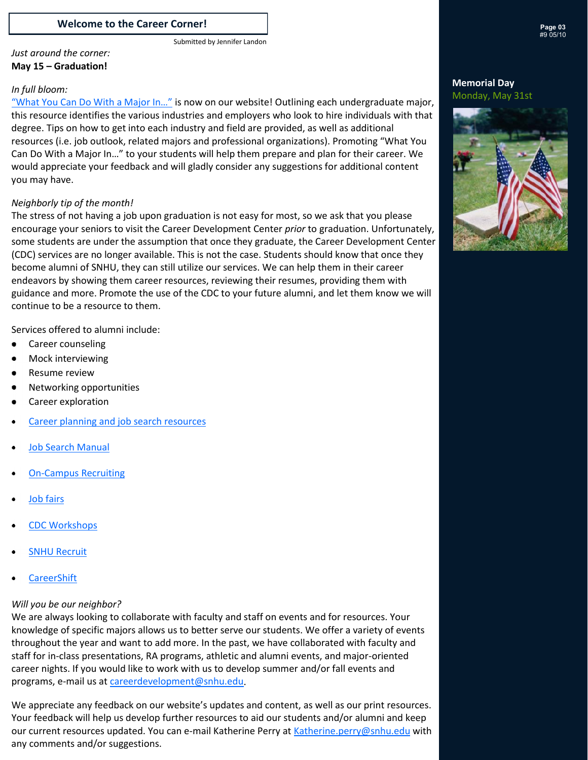#### **Welcome to the Career Corner!**

#### *Just around the corner:* **May 15 – Graduation!**

#### *In full bloom:*

["What You Can Do With a Major In…"](http://www.snhu.edu/9872.asp) is now on our website! Outlining each undergraduate major, this resource identifies the various industries and employers who look to hire individuals with that degree. Tips on how to get into each industry and field are provided, as well as additional resources (i.e. job outlook, related majors and professional organizations). Promoting "What You Can Do With a Major In…" to your students will help them prepare and plan for their career. We would appreciate your feedback and will gladly consider any suggestions for additional content you may have.

#### *Neighborly tip of the month!*

The stress of not having a job upon graduation is not easy for most, so we ask that you please encourage your seniors to visit the Career Development Center *prior* to graduation. Unfortunately, some students are under the assumption that once they graduate, the Career Development Center (CDC) services are no longer available. This is not the case. Students should know that once they become alumni of SNHU, they can still utilize our services. We can help them in their career endeavors by showing them career resources, reviewing their resumes, providing them with guidance and more. Promote the use of the CDC to your future alumni, and let them know we will continue to be a resource to them.

Services offered to alumni include:

- $\bullet$ Career counseling
- $\bullet$ Mock interviewing
- $\bullet$ Resume review
- Networking opportunities  $\bullet$
- Career exploration  $\bullet$
- [Career planning and job search resources](http://www.snhu.edu/561.asp)
- [Job Search Manual](http://www.snhu.edu/files/pdfs/JobSearchManual.pdf)
- [On-Campus Recruiting](http://www.snhu.edu/1094.asp)
- [Job fairs](http://www.snhu.edu/1077.asp)
- [CDC Workshops](http://www.snhu.edu/1088.asp)
- [SNHU Recruit](https://snhu.experience.com/er/security/login.jsp)
- **[CareerShift](http://www.careershift.com/?sc=snhu)**

#### *Will you be our neighbor?*

We are always looking to collaborate with faculty and staff on events and for resources. Your knowledge of specific majors allows us to better serve our students. We offer a variety of events throughout the year and want to add more. In the past, we have collaborated with faculty and staff for in-class presentations, RA programs, athletic and alumni events, and major-oriented career nights. If you would like to work with us to develop summer and/or fall events and programs, e-mail us at [careerdevelopment@snhu.edu.](mailto:careerdevelopment@snhu.edu)

We appreciate any feedback on our website's updates and content, as well as our print resources. Your feedback will help us develop further resources to aid our students and/or alumni and keep our current resources updated. You can e-mail Katherine Perry at [Katherine.perry@snhu.edu w](mailto:Katherine.perry@snhu.edu)ith any comments and/or suggestions.

#### **Memorial Day** Monday, May 31st



# Submitted by Jennifer Landon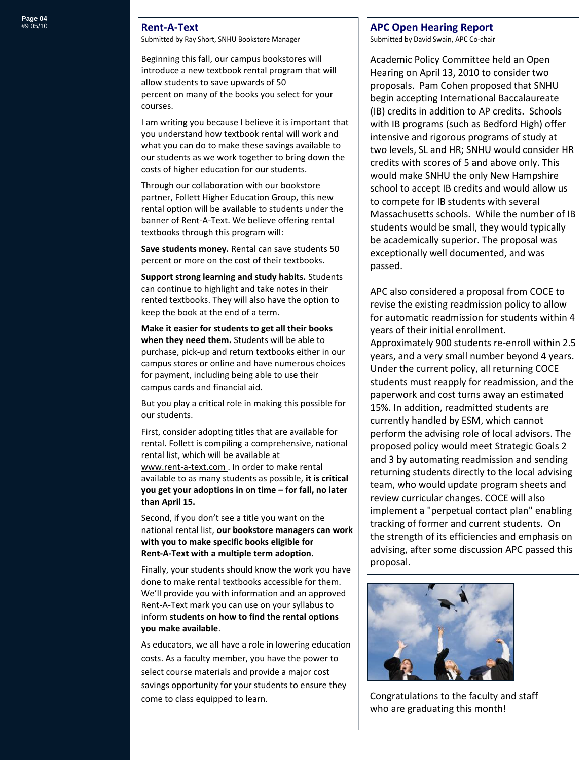#### **Rent-A-Text**

Submitted by Ray Short, SNHU Bookstore Manager

Beginning this fall, our campus bookstores will introduce a new textbook rental program that will allow students to save upwards of 50 percent on many of the books you select for your courses.

I am writing you because I believe it is important that you understand how textbook rental will work and what you can do to make these savings available to our students as we work together to bring down the costs of higher education for our students.

Through our collaboration with our bookstore partner, Follett Higher Education Group, this new rental option will be available to students under the banner of Rent‐A‐Text. We believe offering rental textbooks through this program will:

**Save students money.** Rental can save students 50 percent or more on the cost of their textbooks.

**Support strong learning and study habits.** Students can continue to highlight and take notes in their rented textbooks. They will also have the option to keep the book at the end of a term.

**Make it easier for students to get all their books when they need them.** Students will be able to purchase, pick‐up and return textbooks either in our campus stores or online and have numerous choices for payment, including being able to use their campus cards and financial aid.

But you play a critical role in making this possible for our students.

First, consider adopting titles that are available for rental. Follett is compiling a comprehensive, national rental list, which will be available at www.rent‐a‐text.com . In order to make rental available to as many students as possible, **it is critical you get your adoptions in on time – for fall, no later than April 15.** 

Second, if you don't see a title you want on the national rental list, **our bookstore managers can work with you to make specific books eligible for Rent‐A‐Text with a multiple term adoption.** 

Finally, your students should know the work you have done to make rental textbooks accessible for them. We'll provide you with information and an approved Rent‐A‐Text mark you can use on your syllabus to inform **students on how to find the rental options you make available**.

As educators, we all have a role in lowering education costs. As a faculty member, you have the power to select course materials and provide a major cost savings opportunity for your students to ensure they come to class equipped to learn.

#### **APC Open Hearing Report**

Submitted by David Swain, APC Co-chair

Academic Policy Committee held an Open Hearing on April 13, 2010 to consider two proposals. Pam Cohen proposed that SNHU begin accepting International Baccalaureate (IB) credits in addition to AP credits. Schools with IB programs (such as Bedford High) offer intensive and rigorous programs of study at two levels, SL and HR; SNHU would consider HR credits with scores of 5 and above only. This would make SNHU the only New Hampshire school to accept IB credits and would allow us to compete for IB students with several Massachusetts schools. While the number of IB students would be small, they would typically be academically superior. The proposal was exceptionally well documented, and was passed.

APC also considered a proposal from COCE to revise the existing readmission policy to allow for automatic readmission for students within 4 years of their initial enrollment. Approximately 900 students re-enroll within 2.5 years, and a very small number beyond 4 years. Under the current policy, all returning COCE students must reapply for readmission, and the paperwork and cost turns away an estimated 15%. In addition, readmitted students are currently handled by ESM, which cannot perform the advising role of local advisors. The proposed policy would meet Strategic Goals 2 and 3 by automating readmission and sending returning students directly to the local advising team, who would update program sheets and review curricular changes. COCE will also implement a "perpetual contact plan" enabling tracking of former and current students. On the strength of its efficiencies and emphasis on advising, after some discussion APC passed this proposal.



Congratulations to the faculty and staff who are graduating this month!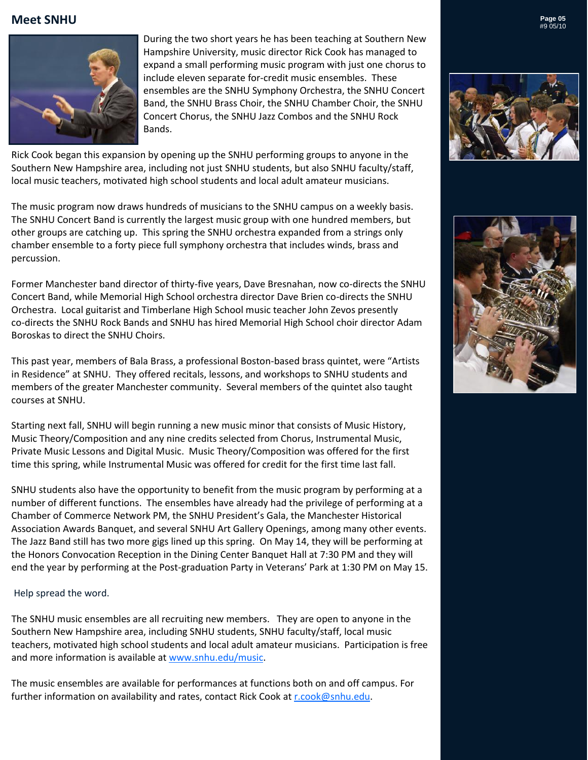# **Meet SNHU**  $\sum_{\#9\,05/10}^{}\text{Page 05}$



 During the two short years he has been teaching at Southern New Hampshire University, music director Rick Cook has managed to expand a small performing music program with just one chorus to include eleven separate for-credit music ensembles. These ensembles are the SNHU Symphony Orchestra, the SNHU Concert Band, the SNHU Brass Choir, the SNHU Chamber Choir, the SNHU Concert Chorus, the SNHU Jazz Combos and the SNHU Rock Bands.

Rick Cook began this expansion by opening up the SNHU performing groups to anyone in the Southern New Hampshire area, including not just SNHU students, but also SNHU faculty/staff, local music teachers, motivated high school students and local adult amateur musicians.

The music program now draws hundreds of musicians to the SNHU campus on a weekly basis. The SNHU Concert Band is currently the largest music group with one hundred members, but other groups are catching up. This spring the SNHU orchestra expanded from a strings only chamber ensemble to a forty piece full symphony orchestra that includes winds, brass and percussion.

Former Manchester band director of thirty-five years, Dave Bresnahan, now co-directs the SNHU Concert Band, while Memorial High School orchestra director Dave Brien co-directs the SNHU Orchestra. Local guitarist and Timberlane High School music teacher John Zevos presently co-directs the SNHU Rock Bands and SNHU has hired Memorial High School choir director Adam Boroskas to direct the SNHU Choirs.

This past year, members of Bala Brass, a professional Boston-based brass quintet, were "Artists in Residence" at SNHU. They offered recitals, lessons, and workshops to SNHU students and members of the greater Manchester community. Several members of the quintet also taught courses at SNHU.

Starting next fall, SNHU will begin running a new music minor that consists of Music History, Music Theory/Composition and any nine credits selected from Chorus, Instrumental Music, Private Music Lessons and Digital Music. Music Theory/Composition was offered for the first time this spring, while Instrumental Music was offered for credit for the first time last fall.

SNHU students also have the opportunity to benefit from the music program by performing at a number of different functions. The ensembles have already had the privilege of performing at a Chamber of Commerce Network PM, the SNHU President's Gala, the Manchester Historical Association Awards Banquet, and several SNHU Art Gallery Openings, among many other events. The Jazz Band still has two more gigs lined up this spring. On May 14, they will be performing at the Honors Convocation Reception in the Dining Center Banquet Hall at 7:30 PM and they will end the year by performing at the Post-graduation Party in Veterans' Park at 1:30 PM on May 15.

#### Help spread the word.

The SNHU music ensembles are all recruiting new members. They are open to anyone in the Southern New Hampshire area, including SNHU students, SNHU faculty/staff, local music teachers, motivated high school students and local adult amateur musicians. Participation is free and more information is available at www.snhu.edu/music.

The music ensembles are available for performances at functions both on and off campus. For further information on availability and rates, contact Rick Cook at [r.cook@snhu.edu.](mailto:r.cook@snhu.edu)